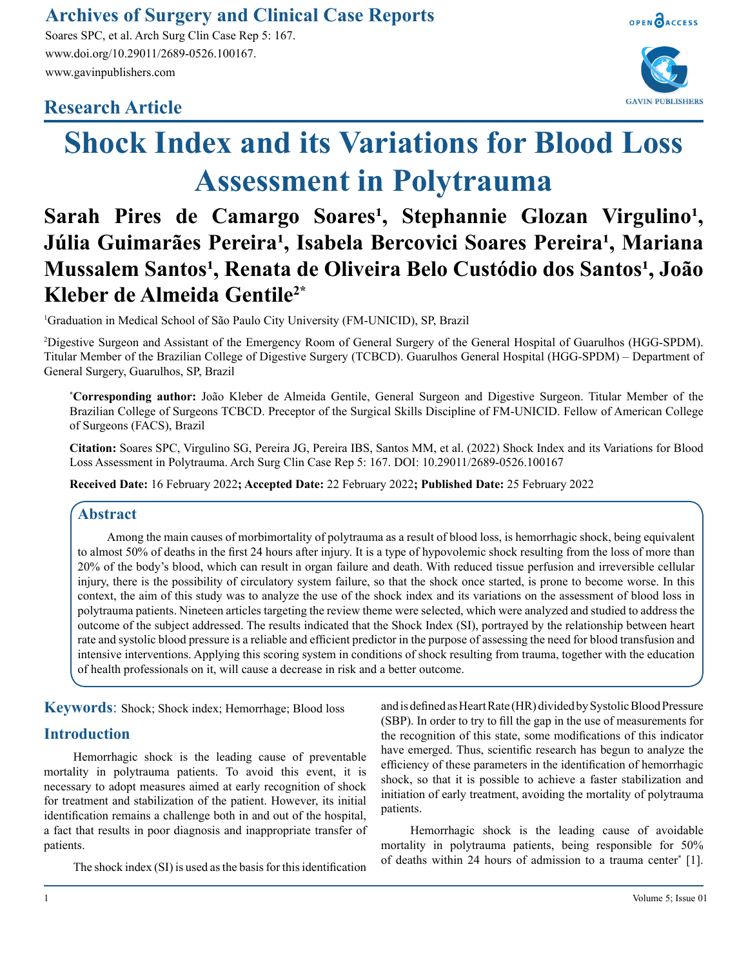## **Archives of Surgery and Clinical Case Reports**

Soares SPC, et al. Arch Surg Clin Case Rep 5: 167. www.doi.org/10.29011/2689-0526.100167. www.gavinpublishers.com

### **Research Article**





# **Shock Index and its Variations for Blood Loss Assessment in Polytrauma**

# Sarah Pires de Camargo Soares<sup>1</sup>, Stephannie Glozan Virgulino<sup>1</sup>, Júlia Guimarães Pereira<sup>1</sup>, Isabela Bercovici Soares Pereira<sup>1</sup>, Mariana **Mussalem Santos<sup>1</sup>, Renata de Oliveira Belo Custódio dos Santos<sup>1</sup>, João Kleber de Almeida Gentile2\***

1 Graduation in Medical School of São Paulo City University (FM-UNICID), SP, Brazil

2 Digestive Surgeon and Assistant of the Emergency Room of General Surgery of the General Hospital of Guarulhos (HGG-SPDM). Titular Member of the Brazilian College of Digestive Surgery (TCBCD). Guarulhos General Hospital (HGG-SPDM) – Department of General Surgery, Guarulhos, SP, Brazil

**\* Corresponding author:** João Kleber de Almeida Gentile, General Surgeon and Digestive Surgeon. Titular Member of the Brazilian College of Surgeons TCBCD. Preceptor of the Surgical Skills Discipline of FM-UNICID. Fellow of American College of Surgeons (FACS), Brazil

**Citation:** Soares SPC, Virgulino SG, Pereira JG, Pereira IBS, Santos MM, et al. (2022) Shock Index and its Variations for Blood Loss Assessment in Polytrauma. Arch Surg Clin Case Rep 5: 167. DOI: 10.29011/2689-0526.100167

**Received Date:** 16 February 2022**; Accepted Date:** 22 February 2022**; Published Date:** 25 February 2022

#### **Abstract**

Among the main causes of morbimortality of polytrauma as a result of blood loss, is hemorrhagic shock, being equivalent to almost 50% of deaths in the first 24 hours after injury. It is a type of hypovolemic shock resulting from the loss of more than 20% of the body's blood, which can result in organ failure and death. With reduced tissue perfusion and irreversible cellular injury, there is the possibility of circulatory system failure, so that the shock once started, is prone to become worse. In this context, the aim of this study was to analyze the use of the shock index and its variations on the assessment of blood loss in polytrauma patients. Nineteen articles targeting the review theme were selected, which were analyzed and studied to address the outcome of the subject addressed. The results indicated that the Shock Index (SI), portrayed by the relationship between heart rate and systolic blood pressure is a reliable and efficient predictor in the purpose of assessing the need for blood transfusion and intensive interventions. Applying this scoring system in conditions of shock resulting from trauma, together with the education of health professionals on it, will cause a decrease in risk and a better outcome.

**Keywords**: Shock; Shock index; Hemorrhage; Blood loss

#### **Introduction**

Hemorrhagic shock is the leading cause of preventable mortality in polytrauma patients. To avoid this event, it is necessary to adopt measures aimed at early recognition of shock for treatment and stabilization of the patient. However, its initial identification remains a challenge both in and out of the hospital, a fact that results in poor diagnosis and inappropriate transfer of patients.

The shock index (SI) is used as the basis for this identification

and is defined as Heart Rate (HR) divided by Systolic Blood Pressure (SBP). In order to try to fill the gap in the use of measurements for the recognition of this state, some modifications of this indicator have emerged. Thus, scientific research has begun to analyze the efficiency of these parameters in the identification of hemorrhagic shock, so that it is possible to achieve a faster stabilization and initiation of early treatment, avoiding the mortality of polytrauma patients.

Hemorrhagic shock is the leading cause of avoidable mortality in polytrauma patients, being responsible for 50% of deaths within 24 hours of admission to a trauma center\* [1].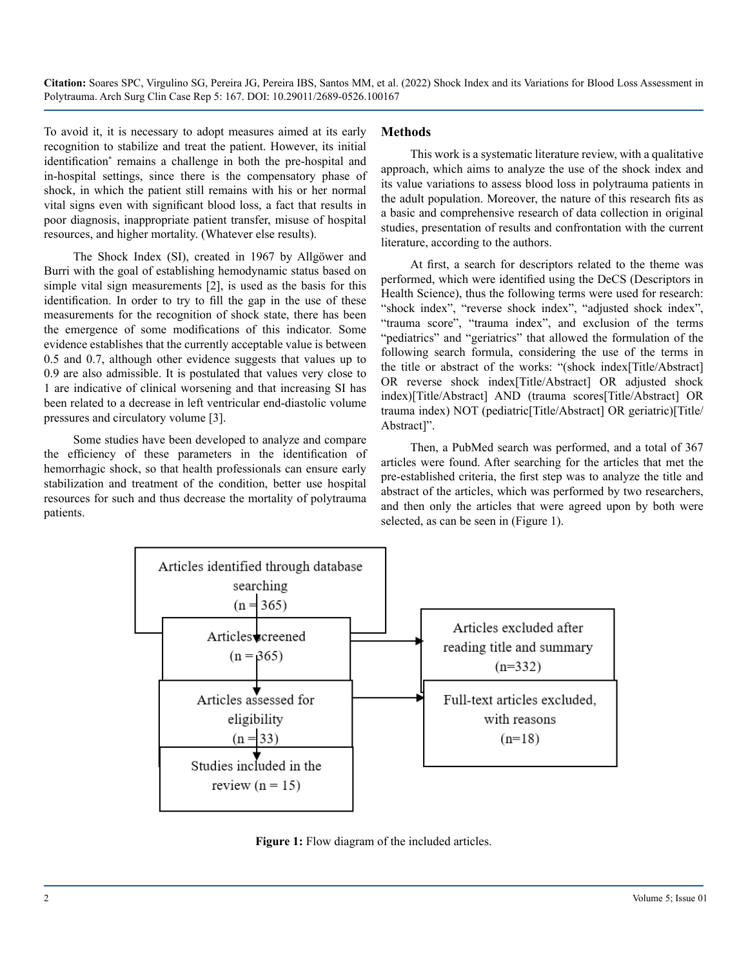To avoid it, it is necessary to adopt measures aimed at its early recognition to stabilize and treat the patient. However, its initial identification<sup>\*</sup> remains a challenge in both the pre-hospital and in-hospital settings, since there is the compensatory phase of shock, in which the patient still remains with his or her normal vital signs even with significant blood loss, a fact that results in poor diagnosis, inappropriate patient transfer, misuse of hospital resources, and higher mortality. (Whatever else results).

The Shock Index (SI), created in 1967 by Allgöwer and Burri with the goal of establishing hemodynamic status based on simple vital sign measurements [2], is used as the basis for this identification. In order to try to fill the gap in the use of these measurements for the recognition of shock state, there has been the emergence of some modifications of this indicator. Some evidence establishes that the currently acceptable value is between 0.5 and 0.7, although other evidence suggests that values up to 0.9 are also admissible. It is postulated that values very close to 1 are indicative of clinical worsening and that increasing SI has been related to a decrease in left ventricular end-diastolic volume pressures and circulatory volume [3].

Some studies have been developed to analyze and compare the efficiency of these parameters in the identification of hemorrhagic shock, so that health professionals can ensure early stabilization and treatment of the condition, better use hospital resources for such and thus decrease the mortality of polytrauma patients.

#### **Methods**

This work is a systematic literature review, with a qualitative approach, which aims to analyze the use of the shock index and its value variations to assess blood loss in polytrauma patients in the adult population. Moreover, the nature of this research fits as a basic and comprehensive research of data collection in original studies, presentation of results and confrontation with the current literature, according to the authors.

At first, a search for descriptors related to the theme was performed, which were identified using the DeCS (Descriptors in Health Science), thus the following terms were used for research: "shock index", "reverse shock index", "adjusted shock index", "trauma score", "trauma index", and exclusion of the terms "pediatrics" and "geriatrics" that allowed the formulation of the following search formula, considering the use of the terms in the title or abstract of the works: "(shock index[Title/Abstract] OR reverse shock index[Title/Abstract] OR adjusted shock index)[Title/Abstract] AND (trauma scores[Title/Abstract] OR trauma index) NOT (pediatric[Title/Abstract] OR geriatric)[Title/ Abstract]".

Then, a PubMed search was performed, and a total of 367 articles were found. After searching for the articles that met the pre-established criteria, the first step was to analyze the title and abstract of the articles, which was performed by two researchers, and then only the articles that were agreed upon by both were selected, as can be seen in (Figure 1).



**Figure 1:** Flow diagram of the included articles.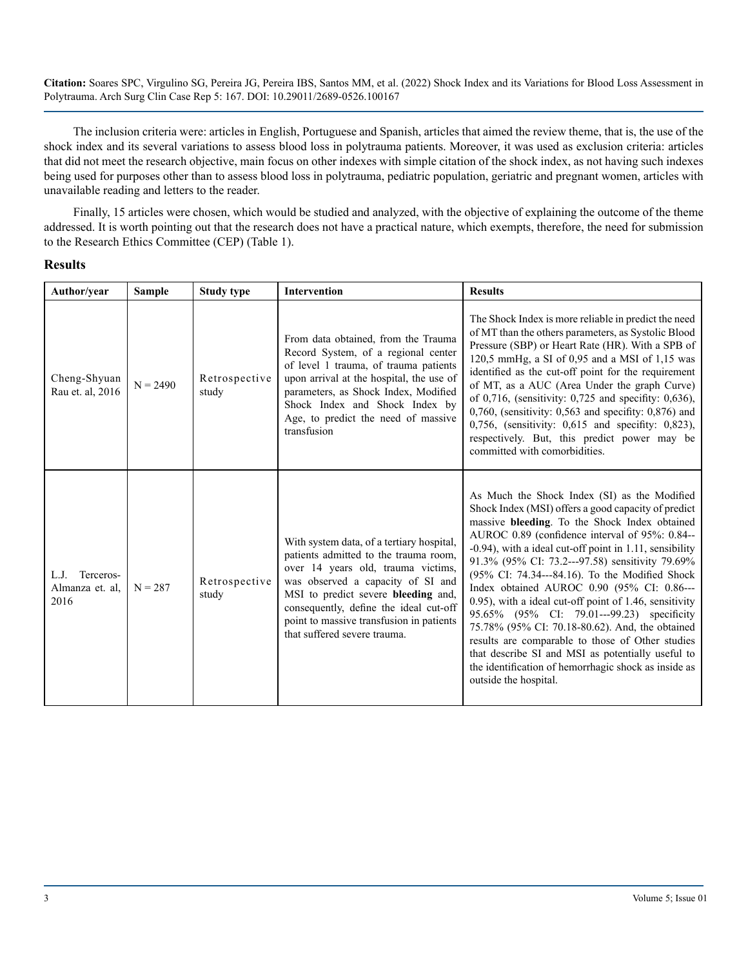The inclusion criteria were: articles in English, Portuguese and Spanish, articles that aimed the review theme, that is, the use of the shock index and its several variations to assess blood loss in polytrauma patients. Moreover, it was used as exclusion criteria: articles that did not meet the research objective, main focus on other indexes with simple citation of the shock index, as not having such indexes being used for purposes other than to assess blood loss in polytrauma, pediatric population, geriatric and pregnant women, articles with unavailable reading and letters to the reader.

Finally, 15 articles were chosen, which would be studied and analyzed, with the objective of explaining the outcome of the theme addressed. It is worth pointing out that the research does not have a practical nature, which exempts, therefore, the need for submission to the Research Ethics Committee (CEP) (Table 1).

#### **Results**

| Author/year                                  | <b>Sample</b> | <b>Study type</b>      | <b>Intervention</b>                                                                                                                                                                                                                                                                                                        | <b>Results</b>                                                                                                                                                                                                                                                                                                                                                                                                                                                                                                                                                                                                                                                                                                                                                               |
|----------------------------------------------|---------------|------------------------|----------------------------------------------------------------------------------------------------------------------------------------------------------------------------------------------------------------------------------------------------------------------------------------------------------------------------|------------------------------------------------------------------------------------------------------------------------------------------------------------------------------------------------------------------------------------------------------------------------------------------------------------------------------------------------------------------------------------------------------------------------------------------------------------------------------------------------------------------------------------------------------------------------------------------------------------------------------------------------------------------------------------------------------------------------------------------------------------------------------|
| Cheng-Shyuan<br>Rau et. al, 2016             | $N = 2490$    | Retrospective<br>study | From data obtained, from the Trauma<br>Record System, of a regional center<br>of level 1 trauma, of trauma patients<br>upon arrival at the hospital, the use of<br>parameters, as Shock Index, Modified<br>Shock Index and Shock Index by<br>Age, to predict the need of massive<br>transfusion                            | The Shock Index is more reliable in predict the need<br>of MT than the others parameters, as Systolic Blood<br>Pressure (SBP) or Heart Rate (HR). With a SPB of<br>120,5 mmHg, a SI of 0,95 and a MSI of 1,15 was<br>identified as the cut-off point for the requirement<br>of MT, as a AUC (Area Under the graph Curve)<br>of 0,716, (sensitivity: $0,725$ and specifity: $0,636$ ),<br>$0,760$ , (sensitivity: 0,563 and specifity: 0,876) and<br>$0,756$ , (sensitivity: $0,615$ and specifity: $0,823$ ),<br>respectively. But, this predict power may be<br>committed with comorbidities.                                                                                                                                                                               |
| Terceros-<br>L.J.<br>Almanza et. al.<br>2016 | $N = 287$     | Retrospective<br>study | With system data, of a tertiary hospital,<br>patients admitted to the trauma room,<br>over 14 years old, trauma victims,<br>was observed a capacity of SI and<br>MSI to predict severe bleeding and,<br>consequently, define the ideal cut-off<br>point to massive transfusion in patients<br>that suffered severe trauma. | As Much the Shock Index (SI) as the Modified<br>Shock Index (MSI) offers a good capacity of predict<br>massive bleeding. To the Shock Index obtained<br>AUROC 0.89 (confidence interval of 95%: 0.84--<br>$-0.94$ ), with a ideal cut-off point in 1.11, sensibility<br>91.3% (95% CI: 73.2---97.58) sensitivity 79.69%<br>(95% CI: 74.34---84.16). To the Modified Shock<br>Index obtained AUROC 0.90 (95% CI: 0.86---<br>0.95), with a ideal cut-off point of 1.46, sensitivity<br>95.65% (95% CI: 79.01---99.23) specificity<br>75.78% (95% CI: 70.18-80.62). And, the obtained<br>results are comparable to those of Other studies<br>that describe SI and MSI as potentially useful to<br>the identification of hemorrhagic shock as inside as<br>outside the hospital. |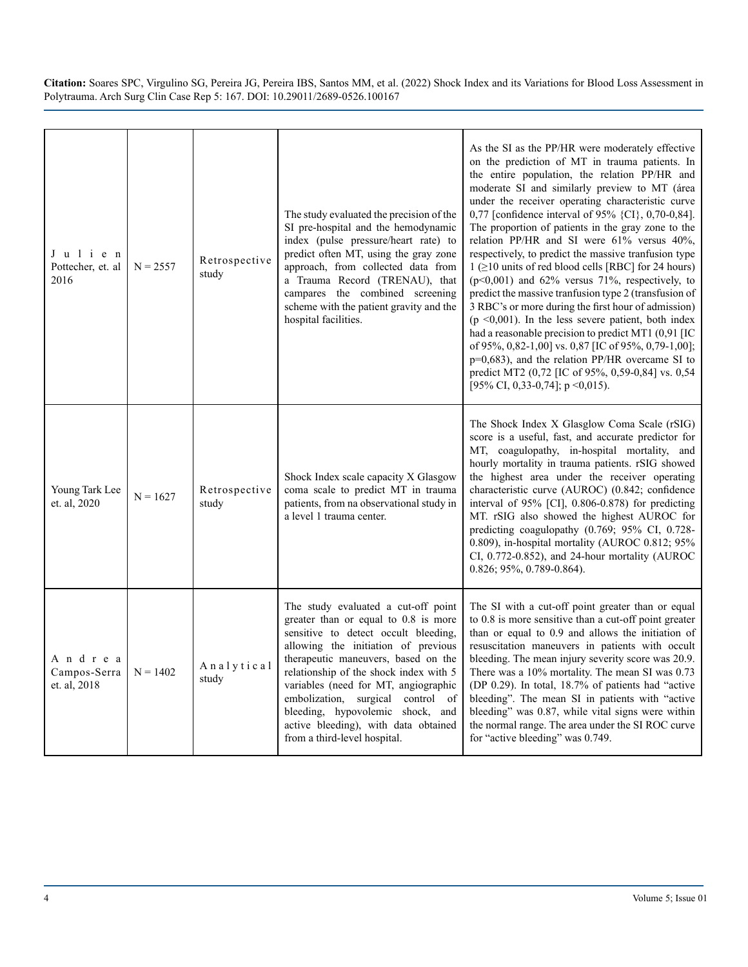| Julien<br>Pottecher, et. al<br>2016    | $N = 2557$ | Retrospective<br>study | The study evaluated the precision of the<br>SI pre-hospital and the hemodynamic<br>index (pulse pressure/heart rate) to<br>predict often MT, using the gray zone<br>approach, from collected data from<br>a Trauma Record (TRENAU), that<br>campares the combined screening<br>scheme with the patient gravity and the<br>hospital facilities.                                                                                       | As the SI as the PP/HR were moderately effective<br>on the prediction of MT in trauma patients. In<br>the entire population, the relation PP/HR and<br>moderate SI and similarly preview to MT (área<br>under the receiver operating characteristic curve<br>0,77 [confidence interval of 95% {CI}, 0,70-0,84].<br>The proportion of patients in the gray zone to the<br>relation PP/HR and SI were 61% versus 40%,<br>respectively, to predict the massive tranfusion type<br>$1$ ( $\geq$ 10 units of red blood cells [RBC] for 24 hours)<br>$(p<0,001)$ and 62% versus 71%, respectively, to<br>predict the massive tranfusion type 2 (transfusion of<br>3 RBC's or more during the first hour of admission)<br>( $p \le 0.001$ ). In the less severe patient, both index<br>had a reasonable precision to predict MT1 (0,91 [IC<br>of 95%, 0,82-1,00] vs. 0,87 [IC of 95%, 0,79-1,00];<br>$p=0,683$ ), and the relation PP/HR overcame SI to<br>predict MT2 (0,72 [IC of 95%, 0,59-0,84] vs. 0,54<br>[95% CI, 0,33-0,74]; $p \le 0.015$ ). |
|----------------------------------------|------------|------------------------|--------------------------------------------------------------------------------------------------------------------------------------------------------------------------------------------------------------------------------------------------------------------------------------------------------------------------------------------------------------------------------------------------------------------------------------|------------------------------------------------------------------------------------------------------------------------------------------------------------------------------------------------------------------------------------------------------------------------------------------------------------------------------------------------------------------------------------------------------------------------------------------------------------------------------------------------------------------------------------------------------------------------------------------------------------------------------------------------------------------------------------------------------------------------------------------------------------------------------------------------------------------------------------------------------------------------------------------------------------------------------------------------------------------------------------------------------------------------------------------------|
| Young Tark Lee<br>et. al, 2020         | $N = 1627$ | Retrospective<br>study | Shock Index scale capacity X Glasgow<br>coma scale to predict MT in trauma<br>patients, from na observational study in<br>a level 1 trauma center.                                                                                                                                                                                                                                                                                   | The Shock Index X Glasglow Coma Scale (rSIG)<br>score is a useful, fast, and accurate predictor for<br>MT, coagulopathy, in-hospital mortality, and<br>hourly mortality in trauma patients. rSIG showed<br>the highest area under the receiver operating<br>characteristic curve (AUROC) (0.842; confidence<br>interval of 95% [CI], 0.806-0.878) for predicting<br>MT. rSIG also showed the highest AUROC for<br>predicting coagulopathy (0.769; 95% CI, 0.728-<br>0.809), in-hospital mortality (AUROC 0.812; 95%<br>CI, 0.772-0.852), and 24-hour mortality (AUROC<br>0.826; 95%, 0.789-0.864).                                                                                                                                                                                                                                                                                                                                                                                                                                             |
| Andrea<br>Campos-Serra<br>et. al, 2018 | $N = 1402$ | Analytical<br>study    | The study evaluated a cut-off point<br>greater than or equal to 0.8 is more<br>sensitive to detect occult bleeding,<br>allowing the initiation of previous<br>therapeutic maneuvers, based on the<br>relationship of the shock index with 5<br>variables (need for MT, angiographic<br>embolization, surgical control of<br>bleeding, hypovolemic shock, and<br>active bleeding), with data obtained<br>from a third-level hospital. | The SI with a cut-off point greater than or equal<br>to 0.8 is more sensitive than a cut-off point greater<br>than or equal to 0.9 and allows the initiation of<br>resuscitation maneuvers in patients with occult<br>bleeding. The mean injury severity score was 20.9.<br>There was a 10% mortality. The mean SI was 0.73<br>(DP 0.29). In total, 18.7% of patients had "active<br>bleeding". The mean SI in patients with "active<br>bleeding" was 0.87, while vital signs were within<br>the normal range. The area under the SI ROC curve<br>for "active bleeding" was 0.749.                                                                                                                                                                                                                                                                                                                                                                                                                                                             |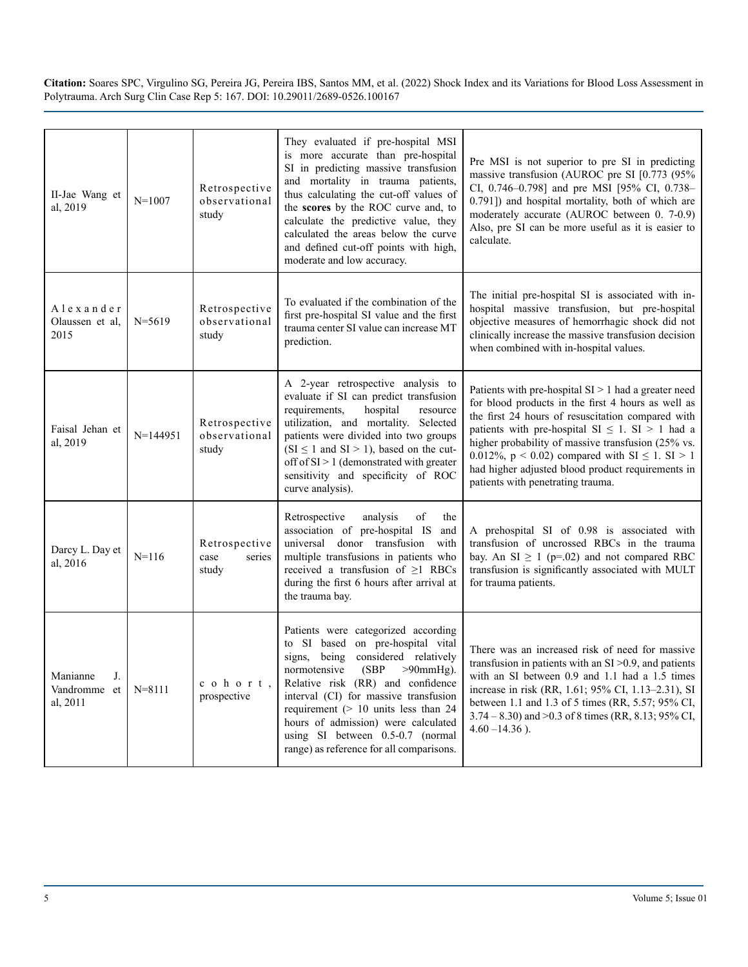| II-Jae Wang et<br>al, 2019                      | $N = 1007$ | Retrospective<br>observational<br>study  | They evaluated if pre-hospital MSI<br>is more accurate than pre-hospital<br>SI in predicting massive transfusion<br>and mortality in trauma patients,<br>thus calculating the cut-off values of<br>the scores by the ROC curve and, to<br>calculate the predictive value, they<br>calculated the areas below the curve<br>and defined cut-off points with high,<br>moderate and low accuracy.             | Pre MSI is not superior to pre SI in predicting<br>massive transfusion (AUROC pre SI [0.773 (95%<br>CI, 0.746-0.798] and pre MSI [95% CI, 0.738-<br>0.791]) and hospital mortality, both of which are<br>moderately accurate (AUROC between 0. 7-0.9)<br>Also, pre SI can be more useful as it is easier to<br>calculate.                                                                                                                 |
|-------------------------------------------------|------------|------------------------------------------|-----------------------------------------------------------------------------------------------------------------------------------------------------------------------------------------------------------------------------------------------------------------------------------------------------------------------------------------------------------------------------------------------------------|-------------------------------------------------------------------------------------------------------------------------------------------------------------------------------------------------------------------------------------------------------------------------------------------------------------------------------------------------------------------------------------------------------------------------------------------|
| Alexander<br>Olaussen et al.<br>2015            | $N = 5619$ | Retrospective<br>observational<br>study  | To evaluated if the combination of the<br>first pre-hospital SI value and the first<br>trauma center SI value can increase MT<br>prediction.                                                                                                                                                                                                                                                              | The initial pre-hospital SI is associated with in-<br>hospital massive transfusion, but pre-hospital<br>objective measures of hemorrhagic shock did not<br>clinically increase the massive transfusion decision<br>when combined with in-hospital values.                                                                                                                                                                                 |
| Faisal Jehan et<br>al, 2019                     | $N=144951$ | Retrospective<br>observational<br>study  | A 2-year retrospective analysis to<br>evaluate if SI can predict transfusion<br>requirements,<br>hospital<br>resource<br>utilization, and mortality. Selected<br>patients were divided into two groups<br>$(SI \le 1$ and $SI > 1)$ , based on the cut-<br>off of $SI > 1$ (demonstrated with greater<br>sensitivity and specificity of ROC<br>curve analysis).                                           | Patients with pre-hospital $SI > 1$ had a greater need<br>for blood products in the first 4 hours as well as<br>the first 24 hours of resuscitation compared with<br>patients with pre-hospital $SI \leq 1$ . $SI > 1$ had a<br>higher probability of massive transfusion (25% vs.<br>0.012%, $p < 0.02$ ) compared with SI $\leq 1$ . SI $> 1$<br>had higher adjusted blood product requirements in<br>patients with penetrating trauma. |
| Darcy L. Day et<br>al, 2016                     | $N = 116$  | Retrospective<br>case<br>series<br>study | Retrospective<br>analysis<br>of<br>the<br>association of pre-hospital IS and<br>universal donor transfusion with<br>multiple transfusions in patients who<br>received a transfusion of $\geq$ 1 RBCs<br>during the first 6 hours after arrival at<br>the trauma bay.                                                                                                                                      | A prehospital SI of 0.98 is associated with<br>transfusion of uncrossed RBCs in the trauma<br>bay. An $SI \ge 1$ (p=.02) and not compared RBC<br>transfusion is significantly associated with MULT<br>for trauma patients.                                                                                                                                                                                                                |
| Manianne<br>$J_{-}$<br>Vandromme et<br>al, 2011 | $N = 8111$ | cohort,<br>prospective                   | Patients were categorized according<br>to SI based on pre-hospital vital<br>considered relatively<br>signs, being<br>(SBP)<br>normotensive<br>$>90$ mmHg).<br>Relative risk (RR) and confidence<br>interval (CI) for massive transfusion<br>requirement $(> 10$ units less than 24<br>hours of admission) were calculated<br>using SI between 0.5-0.7 (normal<br>range) as reference for all comparisons. | There was an increased risk of need for massive<br>transfusion in patients with an $SI > 0.9$ , and patients<br>with an SI between 0.9 and 1.1 had a 1.5 times<br>increase in risk (RR, 1.61; 95% CI, 1.13-2.31), SI<br>between 1.1 and 1.3 of 5 times (RR, 5.57; 95% CI,<br>$3.74 - 8.30$ ) and $> 0.3$ of 8 times (RR, 8.13; 95% CI,<br>$4.60 - 14.36$ ).                                                                               |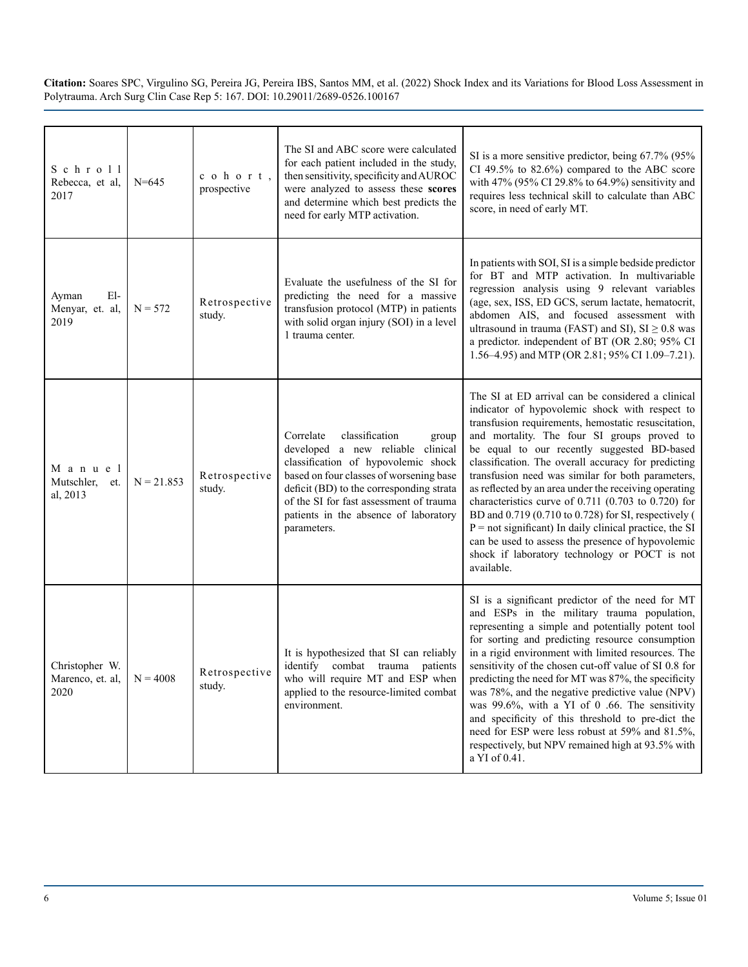| $S$ chroll<br>Rebecca, et al,<br>2017      | $N = 645$    | cohort,<br>prospective  | The SI and ABC score were calculated<br>for each patient included in the study,<br>then sensitivity, specificity and AUROC<br>were analyzed to assess these scores<br>and determine which best predicts the<br>need for early MTP activation.                                                              | SI is a more sensitive predictor, being 67.7% (95%<br>CI 49.5% to $82.6\%$ ) compared to the ABC score<br>with 47% (95% CI 29.8% to 64.9%) sensitivity and<br>requires less technical skill to calculate than ABC<br>score, in need of early MT.                                                                                                                                                                                                                                                                                                                                                                                                                                                                               |
|--------------------------------------------|--------------|-------------------------|------------------------------------------------------------------------------------------------------------------------------------------------------------------------------------------------------------------------------------------------------------------------------------------------------------|--------------------------------------------------------------------------------------------------------------------------------------------------------------------------------------------------------------------------------------------------------------------------------------------------------------------------------------------------------------------------------------------------------------------------------------------------------------------------------------------------------------------------------------------------------------------------------------------------------------------------------------------------------------------------------------------------------------------------------|
| $E1-$<br>Ayman<br>Menyar, et. al,<br>2019  | $N = 572$    | Retrospective<br>study. | Evaluate the usefulness of the SI for<br>predicting the need for a massive<br>transfusion protocol (MTP) in patients<br>with solid organ injury (SOI) in a level<br>1 trauma center.                                                                                                                       | In patients with SOI, SI is a simple bedside predictor<br>for BT and MTP activation. In multivariable<br>regression analysis using 9 relevant variables<br>(age, sex, ISS, ED GCS, serum lactate, hematocrit,<br>abdomen AIS, and focused assessment with<br>ultrasound in trauma (FAST) and SI), $SI \geq 0.8$ was<br>a predictor. independent of BT (OR 2.80; 95% CI<br>1.56–4.95) and MTP (OR 2.81; 95% CI 1.09–7.21).                                                                                                                                                                                                                                                                                                      |
| M a n u e l<br>Mutschler, et.<br>al, 2013  | $N = 21.853$ | Retrospective<br>study. | classification<br>Correlate<br>group<br>developed a new reliable clinical<br>classification of hypovolemic shock<br>based on four classes of worsening base<br>deficit (BD) to the corresponding strata<br>of the SI for fast assessment of trauma<br>patients in the absence of laboratory<br>parameters. | The SI at ED arrival can be considered a clinical<br>indicator of hypovolemic shock with respect to<br>transfusion requirements, hemostatic resuscitation,<br>and mortality. The four SI groups proved to<br>be equal to our recently suggested BD-based<br>classification. The overall accuracy for predicting<br>transfusion need was similar for both parameters,<br>as reflected by an area under the receiving operating<br>characteristics curve of $0.711$ (0.703 to 0.720) for<br>BD and 0.719 (0.710 to 0.728) for SI, respectively (<br>$P = not significant$ In daily clinical practice, the SI<br>can be used to assess the presence of hypovolemic<br>shock if laboratory technology or POCT is not<br>available. |
| Christopher W.<br>Marenco, et. al,<br>2020 | $N = 4008$   | Retrospective<br>study. | It is hypothesized that SI can reliably<br>identify combat trauma patients<br>who will require MT and ESP when<br>applied to the resource-limited combat<br>environment.                                                                                                                                   | SI is a significant predictor of the need for MT<br>and ESPs in the military trauma population,<br>representing a simple and potentially potent tool<br>for sorting and predicting resource consumption<br>in a rigid environment with limited resources. The<br>sensitivity of the chosen cut-off value of SI 0.8 for<br>predicting the need for MT was 87%, the specificity<br>was 78%, and the negative predictive value (NPV)<br>was 99.6%, with a YI of 0 .66. The sensitivity<br>and specificity of this threshold to pre-dict the<br>need for ESP were less robust at 59% and 81.5%,<br>respectively, but NPV remained high at 93.5% with<br>a YI of 0.41.                                                              |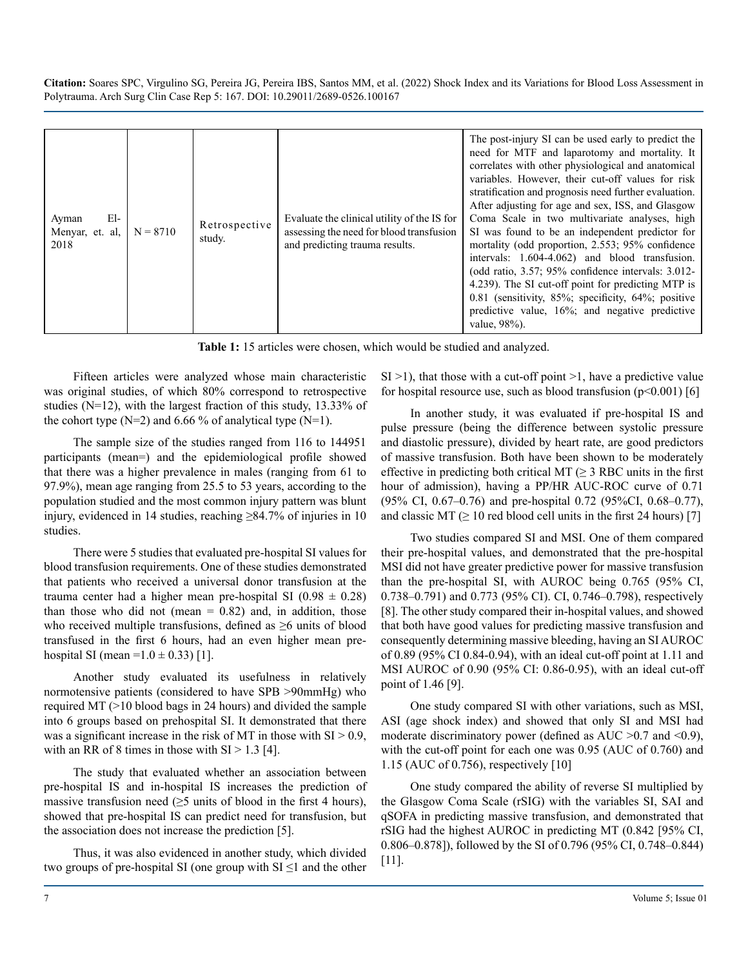| El-<br>Ayman<br>Menyar, et. al.<br>2018 | $N = 8710$ | Retrospective<br>study. | Evaluate the clinical utility of the IS for<br>assessing the need for blood transfusion<br>and predicting trauma results. | The post-injury SI can be used early to predict the<br>need for MTF and laparotomy and mortality. It<br>correlates with other physiological and anatomical<br>variables. However, their cut-off values for risk<br>stratification and prognosis need further evaluation.<br>After adjusting for age and sex, ISS, and Glasgow<br>Coma Scale in two multivariate analyses, high<br>SI was found to be an independent predictor for<br>mortality (odd proportion, 2.553; 95% confidence<br>intervals: 1.604-4.062) and blood transfusion.<br>(odd ratio, 3.57; 95% confidence intervals: 3.012-<br>4.239). The SI cut-off point for predicting MTP is<br>$0.81$ (sensitivity, 85%; specificity, 64%; positive<br>predictive value, 16%; and negative predictive<br>value, 98%). |
|-----------------------------------------|------------|-------------------------|---------------------------------------------------------------------------------------------------------------------------|-------------------------------------------------------------------------------------------------------------------------------------------------------------------------------------------------------------------------------------------------------------------------------------------------------------------------------------------------------------------------------------------------------------------------------------------------------------------------------------------------------------------------------------------------------------------------------------------------------------------------------------------------------------------------------------------------------------------------------------------------------------------------------|

**Table 1:** 15 articles were chosen, which would be studied and analyzed.

Fifteen articles were analyzed whose main characteristic was original studies, of which 80% correspond to retrospective studies (N=12), with the largest fraction of this study, 13.33% of the cohort type  $(N=2)$  and 6.66 % of analytical type  $(N=1)$ .

The sample size of the studies ranged from 116 to 144951 participants (mean=) and the epidemiological profile showed that there was a higher prevalence in males (ranging from 61 to 97.9%), mean age ranging from 25.5 to 53 years, according to the population studied and the most common injury pattern was blunt injury, evidenced in 14 studies, reaching ≥84.7% of injuries in 10 studies.

There were 5 studies that evaluated pre-hospital SI values for blood transfusion requirements. One of these studies demonstrated that patients who received a universal donor transfusion at the trauma center had a higher mean pre-hospital SI ( $0.98 \pm 0.28$ ) than those who did not (mean  $= 0.82$ ) and, in addition, those who received multiple transfusions, defined as ≥6 units of blood transfused in the first 6 hours, had an even higher mean prehospital SI (mean =1.0  $\pm$  0.33) [1].

Another study evaluated its usefulness in relatively normotensive patients (considered to have SPB >90mmHg) who required MT (>10 blood bags in 24 hours) and divided the sample into 6 groups based on prehospital SI. It demonstrated that there was a significant increase in the risk of MT in those with  $SI > 0.9$ , with an RR of 8 times in those with  $SI > 1.3$  [4].

The study that evaluated whether an association between pre-hospital IS and in-hospital IS increases the prediction of massive transfusion need ( $\geq$ 5 units of blood in the first 4 hours), showed that pre-hospital IS can predict need for transfusion, but the association does not increase the prediction [5].

Thus, it was also evidenced in another study, which divided two groups of pre-hospital SI (one group with  $SI \leq 1$  and the other  $SI > 1$ ), that those with a cut-off point  $> 1$ , have a predictive value for hospital resource use, such as blood transfusion  $(p<0.001)$  [6]

In another study, it was evaluated if pre-hospital IS and pulse pressure (being the difference between systolic pressure and diastolic pressure), divided by heart rate, are good predictors of massive transfusion. Both have been shown to be moderately effective in predicting both critical MT ( $\geq$  3 RBC units in the first hour of admission), having a PP/HR AUC-ROC curve of 0.71 (95% CI, 0.67–0.76) and pre-hospital 0.72 (95%CI, 0.68–0.77), and classic MT ( $\geq$  10 red blood cell units in the first 24 hours) [7]

Two studies compared SI and MSI. One of them compared their pre-hospital values, and demonstrated that the pre-hospital MSI did not have greater predictive power for massive transfusion than the pre-hospital SI, with AUROC being 0.765 (95% CI, 0.738–0.791) and 0.773 (95% CI). CI, 0.746–0.798), respectively [8]. The other study compared their in-hospital values, and showed that both have good values for predicting massive transfusion and consequently determining massive bleeding, having an SI AUROC of 0.89 (95% CI 0.84-0.94), with an ideal cut-off point at 1.11 and MSI AUROC of 0.90 (95% CI: 0.86-0.95), with an ideal cut-off point of 1.46 [9].

One study compared SI with other variations, such as MSI, ASI (age shock index) and showed that only SI and MSI had moderate discriminatory power (defined as  $AUC > 0.7$  and  $\leq 0.9$ ), with the cut-off point for each one was 0.95 (AUC of 0.760) and 1.15 (AUC of 0.756), respectively [10]

One study compared the ability of reverse SI multiplied by the Glasgow Coma Scale (rSIG) with the variables SI, SAI and qSOFA in predicting massive transfusion, and demonstrated that rSIG had the highest AUROC in predicting MT (0.842 [95% CI, 0.806–0.878]), followed by the SI of 0.796 (95% CI, 0.748–0.844) [11].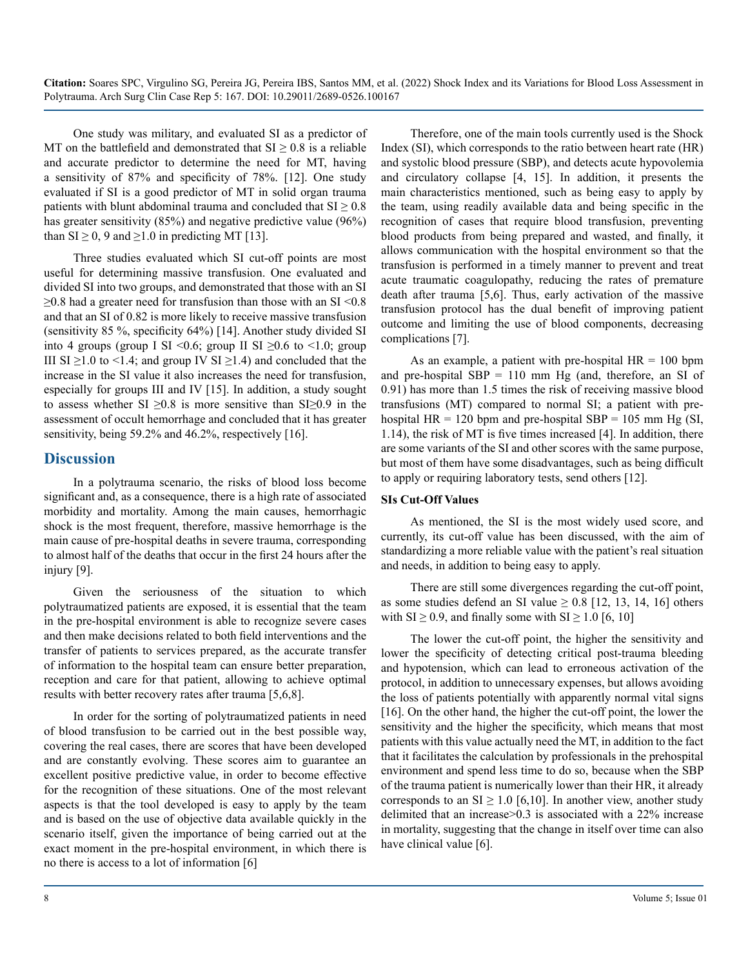One study was military, and evaluated SI as a predictor of MT on the battlefield and demonstrated that  $SI \geq 0.8$  is a reliable and accurate predictor to determine the need for MT, having a sensitivity of 87% and specificity of 78%. [12]. One study evaluated if SI is a good predictor of MT in solid organ trauma patients with blunt abdominal trauma and concluded that  $SI \geq 0.8$ has greater sensitivity (85%) and negative predictive value (96%) than  $SI \ge 0$ , 9 and  $\ge 1.0$  in predicting MT [13].

Three studies evaluated which SI cut-off points are most useful for determining massive transfusion. One evaluated and divided SI into two groups, and demonstrated that those with an SI  $\geq$ 0.8 had a greater need for transfusion than those with an SI <0.8 and that an SI of 0.82 is more likely to receive massive transfusion (sensitivity 85 %, specificity 64%) [14]. Another study divided SI into 4 groups (group I SI <0.6; group II SI  $\geq$ 0.6 to <1.0; group III SI  $\geq$ 1.0 to <1.4; and group IV SI  $\geq$ 1.4) and concluded that the increase in the SI value it also increases the need for transfusion, especially for groups III and IV [15]. In addition, a study sought to assess whether SI  $\geq 0.8$  is more sensitive than SI $\geq 0.9$  in the assessment of occult hemorrhage and concluded that it has greater sensitivity, being 59.2% and 46.2%, respectively [16].

#### **Discussion**

In a polytrauma scenario, the risks of blood loss become significant and, as a consequence, there is a high rate of associated morbidity and mortality. Among the main causes, hemorrhagic shock is the most frequent, therefore, massive hemorrhage is the main cause of pre-hospital deaths in severe trauma, corresponding to almost half of the deaths that occur in the first 24 hours after the injury [9].

Given the seriousness of the situation to which polytraumatized patients are exposed, it is essential that the team in the pre-hospital environment is able to recognize severe cases and then make decisions related to both field interventions and the transfer of patients to services prepared, as the accurate transfer of information to the hospital team can ensure better preparation, reception and care for that patient, allowing to achieve optimal results with better recovery rates after trauma [5,6,8].

In order for the sorting of polytraumatized patients in need of blood transfusion to be carried out in the best possible way, covering the real cases, there are scores that have been developed and are constantly evolving. These scores aim to guarantee an excellent positive predictive value, in order to become effective for the recognition of these situations. One of the most relevant aspects is that the tool developed is easy to apply by the team and is based on the use of objective data available quickly in the scenario itself, given the importance of being carried out at the exact moment in the pre-hospital environment, in which there is no there is access to a lot of information [6]

Therefore, one of the main tools currently used is the Shock Index (SI), which corresponds to the ratio between heart rate (HR) and systolic blood pressure (SBP), and detects acute hypovolemia and circulatory collapse [4, 15]. In addition, it presents the main characteristics mentioned, such as being easy to apply by the team, using readily available data and being specific in the recognition of cases that require blood transfusion, preventing blood products from being prepared and wasted, and finally, it allows communication with the hospital environment so that the transfusion is performed in a timely manner to prevent and treat acute traumatic coagulopathy, reducing the rates of premature death after trauma [5,6]. Thus, early activation of the massive transfusion protocol has the dual benefit of improving patient outcome and limiting the use of blood components, decreasing complications [7].

As an example, a patient with pre-hospital  $HR = 100$  bpm and pre-hospital  $SBP = 110$  mm Hg (and, therefore, an SI of 0.91) has more than 1.5 times the risk of receiving massive blood transfusions (MT) compared to normal SI; a patient with prehospital HR = 120 bpm and pre-hospital SBP = 105 mm Hg (SI, 1.14), the risk of MT is five times increased [4]. In addition, there are some variants of the SI and other scores with the same purpose, but most of them have some disadvantages, such as being difficult to apply or requiring laboratory tests, send others [12].

#### **SIs Cut-Off Values**

As mentioned, the SI is the most widely used score, and currently, its cut-off value has been discussed, with the aim of standardizing a more reliable value with the patient's real situation and needs, in addition to being easy to apply.

There are still some divergences regarding the cut-off point, as some studies defend an SI value  $\geq 0.8$  [12, 13, 14, 16] others with  $SI \ge 0.9$ , and finally some with  $SI \ge 1.0$  [6, 10]

The lower the cut-off point, the higher the sensitivity and lower the specificity of detecting critical post-trauma bleeding and hypotension, which can lead to erroneous activation of the protocol, in addition to unnecessary expenses, but allows avoiding the loss of patients potentially with apparently normal vital signs [16]. On the other hand, the higher the cut-off point, the lower the sensitivity and the higher the specificity, which means that most patients with this value actually need the MT, in addition to the fact that it facilitates the calculation by professionals in the prehospital environment and spend less time to do so, because when the SBP of the trauma patient is numerically lower than their HR, it already corresponds to an  $SI \geq 1.0$  [6,10]. In another view, another study delimited that an increase>0.3 is associated with a 22% increase in mortality, suggesting that the change in itself over time can also have clinical value [6].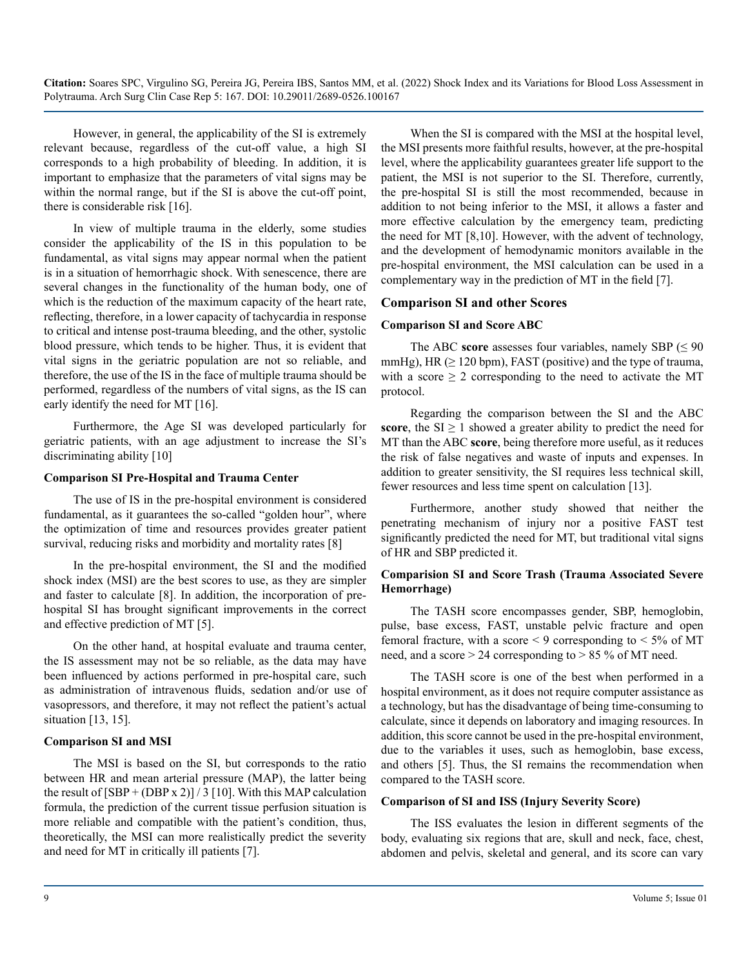However, in general, the applicability of the SI is extremely relevant because, regardless of the cut-off value, a high SI corresponds to a high probability of bleeding. In addition, it is important to emphasize that the parameters of vital signs may be within the normal range, but if the SI is above the cut-off point, there is considerable risk [16].

In view of multiple trauma in the elderly, some studies consider the applicability of the IS in this population to be fundamental, as vital signs may appear normal when the patient is in a situation of hemorrhagic shock. With senescence, there are several changes in the functionality of the human body, one of which is the reduction of the maximum capacity of the heart rate, reflecting, therefore, in a lower capacity of tachycardia in response to critical and intense post-trauma bleeding, and the other, systolic blood pressure, which tends to be higher. Thus, it is evident that vital signs in the geriatric population are not so reliable, and therefore, the use of the IS in the face of multiple trauma should be performed, regardless of the numbers of vital signs, as the IS can early identify the need for MT [16].

Furthermore, the Age SI was developed particularly for geriatric patients, with an age adjustment to increase the SI's discriminating ability [10]

#### **Comparison SI Pre-Hospital and Trauma Center**

The use of IS in the pre-hospital environment is considered fundamental, as it guarantees the so-called "golden hour", where the optimization of time and resources provides greater patient survival, reducing risks and morbidity and mortality rates [8]

In the pre-hospital environment, the SI and the modified shock index (MSI) are the best scores to use, as they are simpler and faster to calculate [8]. In addition, the incorporation of prehospital SI has brought significant improvements in the correct and effective prediction of MT [5].

On the other hand, at hospital evaluate and trauma center, the IS assessment may not be so reliable, as the data may have been influenced by actions performed in pre-hospital care, such as administration of intravenous fluids, sedation and/or use of vasopressors, and therefore, it may not reflect the patient's actual situation [13, 15].

#### **Comparison SI and MSI**

The MSI is based on the SI, but corresponds to the ratio between HR and mean arterial pressure (MAP), the latter being the result of  $[SBP + (DBP x 2)] / 3$  [10]. With this MAP calculation formula, the prediction of the current tissue perfusion situation is more reliable and compatible with the patient's condition, thus, theoretically, the MSI can more realistically predict the severity and need for MT in critically ill patients [7].

When the SI is compared with the MSI at the hospital level, the MSI presents more faithful results, however, at the pre-hospital level, where the applicability guarantees greater life support to the patient, the MSI is not superior to the SI. Therefore, currently, the pre-hospital SI is still the most recommended, because in addition to not being inferior to the MSI, it allows a faster and more effective calculation by the emergency team, predicting the need for MT [8,10]. However, with the advent of technology, and the development of hemodynamic monitors available in the pre-hospital environment, the MSI calculation can be used in a complementary way in the prediction of MT in the field [7].

#### **Comparison SI and other Scores**

#### **Comparison SI and Score ABC**

The ABC **score** assesses four variables, namely SBP ( $\leq 90$ ) mmHg), HR  $( \geq 120$  bpm), FAST (positive) and the type of trauma, with a score  $\geq 2$  corresponding to the need to activate the MT protocol.

Regarding the comparison between the SI and the ABC **score**, the  $SI \geq 1$  showed a greater ability to predict the need for MT than the ABC **score**, being therefore more useful, as it reduces the risk of false negatives and waste of inputs and expenses. In addition to greater sensitivity, the SI requires less technical skill, fewer resources and less time spent on calculation [13].

Furthermore, another study showed that neither the penetrating mechanism of injury nor a positive FAST test significantly predicted the need for MT, but traditional vital signs of HR and SBP predicted it.

#### **Comparision SI and Score Trash (Trauma Associated Severe Hemorrhage)**

The TASH score encompasses gender, SBP, hemoglobin, pulse, base excess, FAST, unstable pelvic fracture and open femoral fracture, with a score  $\leq$  9 corresponding to  $\leq$  5% of MT need, and a score  $> 24$  corresponding to  $> 85$  % of MT need.

The TASH score is one of the best when performed in a hospital environment, as it does not require computer assistance as a technology, but has the disadvantage of being time-consuming to calculate, since it depends on laboratory and imaging resources. In addition, this score cannot be used in the pre-hospital environment, due to the variables it uses, such as hemoglobin, base excess, and others [5]. Thus, the SI remains the recommendation when compared to the TASH score.

#### **Comparison of SI and ISS (Injury Severity Score)**

The ISS evaluates the lesion in different segments of the body, evaluating six regions that are, skull and neck, face, chest, abdomen and pelvis, skeletal and general, and its score can vary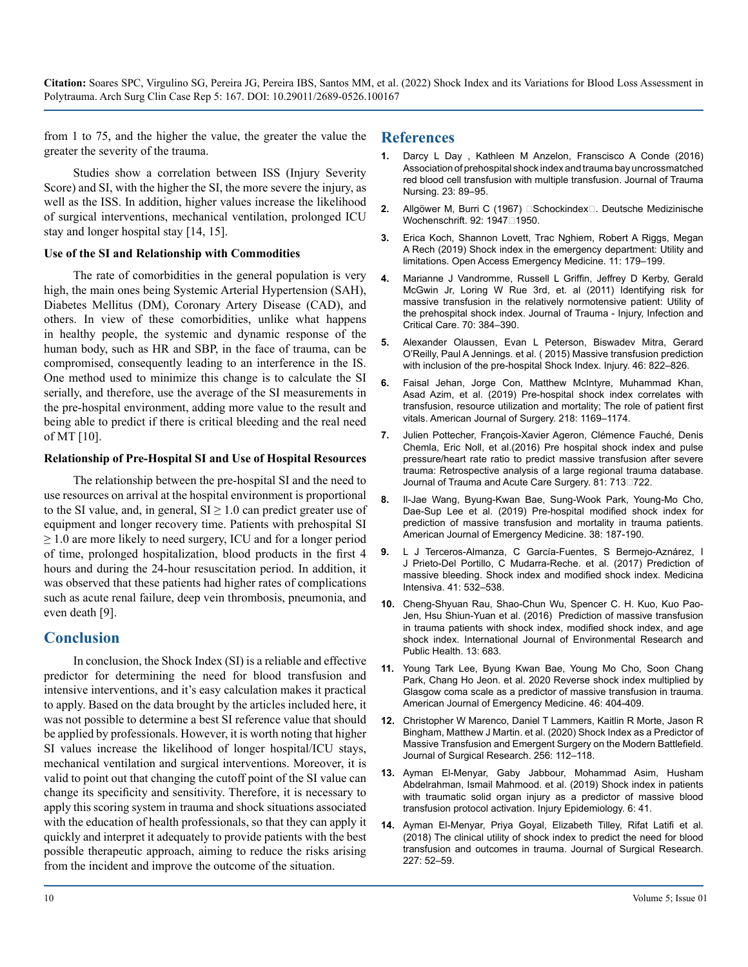from 1 to 75, and the higher the value, the greater the value the greater the severity of the trauma.

Studies show a correlation between ISS (Injury Severity Score) and SI, with the higher the SI, the more severe the injury, as well as the ISS. In addition, higher values increase the likelihood of surgical interventions, mechanical ventilation, prolonged ICU stay and longer hospital stay [14, 15].

#### **Use of the SI and Relationship with Commodities**

The rate of comorbidities in the general population is very high, the main ones being Systemic Arterial Hypertension (SAH), Diabetes Mellitus (DM), Coronary Artery Disease (CAD), and others. In view of these comorbidities, unlike what happens in healthy people, the systemic and dynamic response of the human body, such as HR and SBP, in the face of trauma, can be compromised, consequently leading to an interference in the IS. One method used to minimize this change is to calculate the SI serially, and therefore, use the average of the SI measurements in the pre-hospital environment, adding more value to the result and being able to predict if there is critical bleeding and the real need of MT [10].

#### **Relationship of Pre-Hospital SI and Use of Hospital Resources**

The relationship between the pre-hospital SI and the need to use resources on arrival at the hospital environment is proportional to the SI value, and, in general,  $SI \geq 1.0$  can predict greater use of equipment and longer recovery time. Patients with prehospital SI  $\geq 1.0$  are more likely to need surgery, ICU and for a longer period of time, prolonged hospitalization, blood products in the first 4 hours and during the 24-hour resuscitation period. In addition, it was observed that these patients had higher rates of complications such as acute renal failure, deep vein thrombosis, pneumonia, and even death [9].

#### **Conclusion**

In conclusion, the Shock Index (SI) is a reliable and effective predictor for determining the need for blood transfusion and intensive interventions, and it's easy calculation makes it practical to apply. Based on the data brought by the articles included here, it was not possible to determine a best SI reference value that should be applied by professionals. However, it is worth noting that higher SI values increase the likelihood of longer hospital/ICU stays, mechanical ventilation and surgical interventions. Moreover, it is valid to point out that changing the cutoff point of the SI value can change its specificity and sensitivity. Therefore, it is necessary to apply this scoring system in trauma and shock situations associated with the education of health professionals, so that they can apply it quickly and interpret it adequately to provide patients with the best possible therapeutic approach, aiming to reduce the risks arising from the incident and improve the outcome of the situation.

#### **References**

- **1.** [Darcy L Day , Kathleen M Anzelon, Franscisco A Conde \(2016\)](https://pubmed.ncbi.nlm.nih.gov/26953537/)  [Association of prehospital shock index and trauma bay uncrossmatched](https://pubmed.ncbi.nlm.nih.gov/26953537/)  [red blood cell transfusion with multiple transfusion. Journal of Trauma](https://pubmed.ncbi.nlm.nih.gov/26953537/)  [Nursing. 23: 89–95.](https://pubmed.ncbi.nlm.nih.gov/26953537/)
- 2. Allgöwer M, Burri C (1967) □Schockindex□. Deutsche Medizinische Wochenschrift. 92: 1947<sup>[1950]</sup>.
- **3.** [Erica Koch, Shannon Lovett, Trac Nghiem, Robert A Riggs, Megan](https://pubmed.ncbi.nlm.nih.gov/31616192/)  [A Rech \(2019\) Shock index in the emergency department: Utility and](https://pubmed.ncbi.nlm.nih.gov/31616192/)  [limitations. Open Access Emergency Medicine. 11: 179–199](https://pubmed.ncbi.nlm.nih.gov/31616192/).
- **4.** [Marianne J Vandromme, Russell L Griffin, Jeffrey D Kerby, Gerald](https://pubmed.ncbi.nlm.nih.gov/21307738/)  [McGwin Jr, Loring W Rue 3rd, et. al \(2011\) Identifying risk for](https://pubmed.ncbi.nlm.nih.gov/21307738/)  [massive transfusion in the relatively normotensive patient: Utility of](https://pubmed.ncbi.nlm.nih.gov/21307738/)  [the prehospital shock index. Journal of Trauma - Injury, Infection and](https://pubmed.ncbi.nlm.nih.gov/21307738/)  [Critical Care. 70: 384–390.](https://pubmed.ncbi.nlm.nih.gov/21307738/)
- **5.** [Alexander Olaussen, Evan L Peterson, Biswadev Mitra, Gerard](https://pubmed.ncbi.nlm.nih.gov/25555919/)  [O'Reilly, Paul A Jennings. et al. \( 2015\) Massive transfusion prediction](https://pubmed.ncbi.nlm.nih.gov/25555919/)  [with inclusion of the pre-hospital Shock Index. Injury. 46: 822–826](https://pubmed.ncbi.nlm.nih.gov/25555919/).
- **6.** [Faisal Jehan, Jorge Con, Matthew McIntyre, Muhammad Khan,](https://pubmed.ncbi.nlm.nih.gov/31540684/)  [Asad Azim, et al. \(2019\) Pre-hospital shock index correlates with](https://pubmed.ncbi.nlm.nih.gov/31540684/)  [transfusion, resource utilization and mortality; The role of patient first](https://pubmed.ncbi.nlm.nih.gov/31540684/)  [vitals. American Journal of Surgery. 218: 1169–1174](https://pubmed.ncbi.nlm.nih.gov/31540684/).
- **7.** [Julien Pottecher, François-Xavier Ageron, Clémence Fauché, Denis](https://pubmed.ncbi.nlm.nih.gov/27648770/)  [Chemla, Eric Noll, et al.\(2016\) Pre hospital shock index and pulse](https://pubmed.ncbi.nlm.nih.gov/27648770/)  [pressure/heart rate ratio to predict massive transfusion after severe](https://pubmed.ncbi.nlm.nih.gov/27648770/)  [trauma: Retrospective analysis of a large regional trauma database.](https://pubmed.ncbi.nlm.nih.gov/27648770/)  Journal of Trauma and Acute Care Surgery. 81: 7130722.
- **8.** [Il-Jae Wang, Byung-Kwan Bae, Sung-Wook Park, Young-Mo Cho,](https://pubmed.ncbi.nlm.nih.gov/30738590/)  [Dae-Sup Lee et al. \(2019\) Pre-hospital modified shock index for](https://pubmed.ncbi.nlm.nih.gov/30738590/)  [prediction of massive transfusion and mortality in trauma patients.](https://pubmed.ncbi.nlm.nih.gov/30738590/)  [American Journal of Emergency Medicine. 38: 187-190.](https://pubmed.ncbi.nlm.nih.gov/30738590/)
- **9.** [L J Terceros-Almanza, C García-Fuentes, S Bermejo-Aznárez, I](https://pubmed.ncbi.nlm.nih.gov/28396047/)  [J Prieto-Del Portillo, C Mudarra-Reche. et al. \(2017\) Pred](https://pubmed.ncbi.nlm.nih.gov/28396047/)iction of [massive bleeding. Shock index and modified shock index.](https://pubmed.ncbi.nlm.nih.gov/28396047/) Medicina [Intensiva. 41: 532–538.](https://pubmed.ncbi.nlm.nih.gov/28396047/)
- **10.** [Cheng-Shyuan Rau, Shao-Chun Wu, Spencer C. H. Kuo, Kuo Pao-](https://www.ncbi.nlm.nih.gov/pmc/articles/PMC4962224/)[Jen, Hsu Shiun-Yuan et al. \(2016\) Prediction of massive transfusion](https://www.ncbi.nlm.nih.gov/pmc/articles/PMC4962224/)  [in trauma patients with shock index, modified shock index, and age](https://www.ncbi.nlm.nih.gov/pmc/articles/PMC4962224/)  [shock index. International Journal of Environmental Research and](https://www.ncbi.nlm.nih.gov/pmc/articles/PMC4962224/)  [Public Health. 13: 683.](https://www.ncbi.nlm.nih.gov/pmc/articles/PMC4962224/)
- **11.** [Young Tark Lee, Byung Kwan Bae, Young Mo Cho, Soon Chang](https://pubmed.ncbi.nlm.nih.gov/33143960/)  [Park, Chang Ho Jeon. et al. 2020 Reverse shock index multiplied by](https://pubmed.ncbi.nlm.nih.gov/33143960/)  [Glasgow coma scale as a predictor of massive transfusion in trauma.](https://pubmed.ncbi.nlm.nih.gov/33143960/)  [American Journal of Emergency Medicine. 46: 404-409.](https://pubmed.ncbi.nlm.nih.gov/33143960/)
- **12.** [Christopher W Marenco, Daniel T Lammers, Kaitlin R Morte, Jason R](https://pubmed.ncbi.nlm.nih.gov/32683051/)  [Bingham, Matthew J Martin. et al. \(2020\) Shock Index as a Predictor of](https://pubmed.ncbi.nlm.nih.gov/32683051/)  [Massive Transfusion and Emergent Surgery on the Modern Battlefield.](https://pubmed.ncbi.nlm.nih.gov/32683051/)  [Journal of Surgical Research. 256: 112–118.](https://pubmed.ncbi.nlm.nih.gov/32683051/)
- **13.** [Ayman El-Menyar, Gaby Jabbour, Mohammad Asim, Husham](https://injepijournal.biomedcentral.com/articles/10.1186/s40621-019-0218-7)  [Abdelrahman, Ismail Mahmood. et al. \(2019\) Shock index in patients](https://injepijournal.biomedcentral.com/articles/10.1186/s40621-019-0218-7)  [with traumatic solid organ injury as a predictor of massive blood](https://injepijournal.biomedcentral.com/articles/10.1186/s40621-019-0218-7)  [transfusion protocol activation. Injury Epidemiology. 6: 41.](https://injepijournal.biomedcentral.com/articles/10.1186/s40621-019-0218-7)
- **14.** [Ayman El-Menyar, Priya Goyal, Elizabeth Tilley, Rifat Latifi et al.](https://pubmed.ncbi.nlm.nih.gov/29804862/)  [\(2018\) The clinical utility of shock index to predict the need for blood](https://pubmed.ncbi.nlm.nih.gov/29804862/)  [transfusion and outcomes in trauma. Journal of Surgical Research.](https://pubmed.ncbi.nlm.nih.gov/29804862/)  [227: 52–59.](https://pubmed.ncbi.nlm.nih.gov/29804862/)